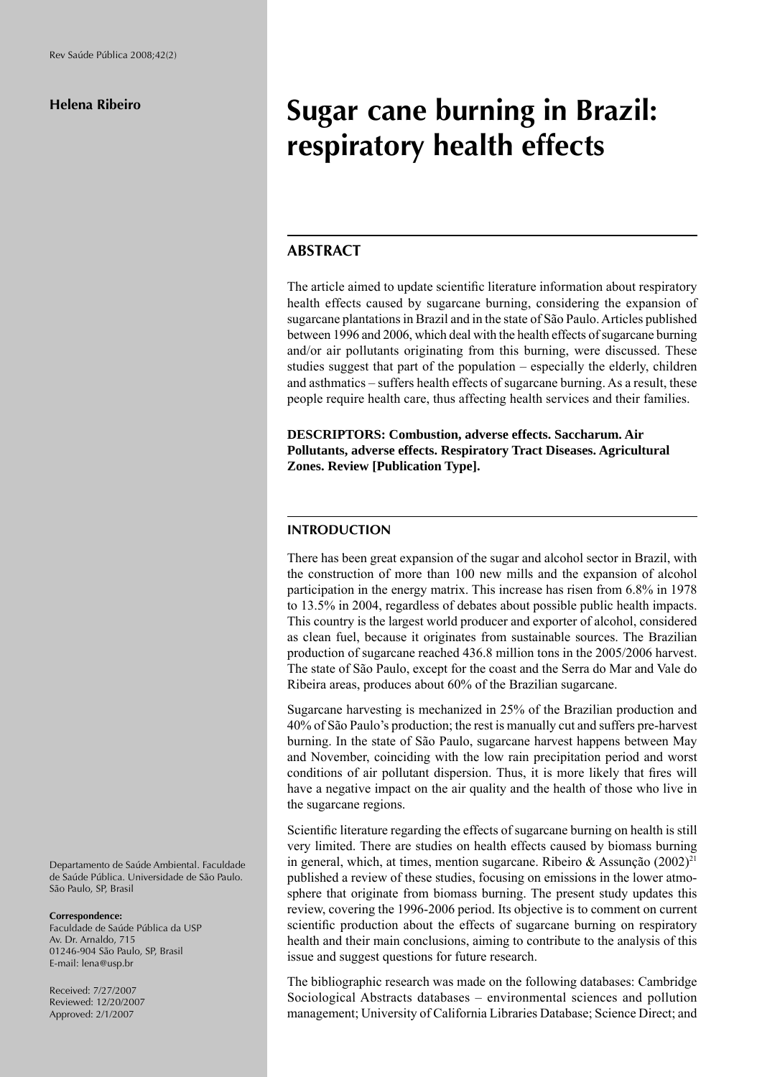# **Sugar cane burning in Brazil: respiratory health effects**

## **ABSTRACT**

The article aimed to update scientific literature information about respiratory health effects caused by sugarcane burning, considering the expansion of sugarcane plantations in Brazil and in the state of São Paulo. Articles published between 1996 and 2006, which deal with the health effects of sugarcane burning and/or air pollutants originating from this burning, were discussed. These studies suggest that part of the population – especially the elderly, children and asthmatics – suffers health effects of sugarcane burning. As a result, these people require health care, thus affecting health services and their families.

**DESCRIPTORS: Combustion, adverse effects. Saccharum. Air Pollutants, adverse effects. Respiratory Tract Diseases. Agricultural Zones. Review [Publication Type].**

## **INTRODUCTION**

There has been great expansion of the sugar and alcohol sector in Brazil, with the construction of more than 100 new mills and the expansion of alcohol participation in the energy matrix. This increase has risen from 6.8% in 1978 to 13.5% in 2004, regardless of debates about possible public health impacts. This country is the largest world producer and exporter of alcohol, considered as clean fuel, because it originates from sustainable sources. The Brazilian production of sugarcane reached 436.8 million tons in the 2005/2006 harvest. The state of São Paulo, except for the coast and the Serra do Mar and Vale do Ribeira areas, produces about 60% of the Brazilian sugarcane.

Sugarcane harvesting is mechanized in 25% of the Brazilian production and 40% of São Paulo's production; the rest is manually cut and suffers pre-harvest burning. In the state of São Paulo, sugarcane harvest happens between May and November, coinciding with the low rain precipitation period and worst conditions of air pollutant dispersion. Thus, it is more likely that fires will have a negative impact on the air quality and the health of those who live in the sugarcane regions.

Scientific literature regarding the effects of sugarcane burning on health is still very limited. There are studies on health effects caused by biomass burning in general, which, at times, mention sugarcane. Ribeiro & Assunção  $(2002)^{21}$ published a review of these studies, focusing on emissions in the lower atmosphere that originate from biomass burning. The present study updates this review, covering the 1996-2006 period. Its objective is to comment on current scientific production about the effects of sugarcane burning on respiratory health and their main conclusions, aiming to contribute to the analysis of this issue and suggest questions for future research.

The bibliographic research was made on the following databases: Cambridge Sociological Abstracts databases – environmental sciences and pollution management; University of California Libraries Database; Science Direct; and

Departamento de Saúde Ambiental. Faculdade de Saúde Pública. Universidade de São Paulo. São Paulo, SP, Brasil

#### **Correspondence:**

Faculdade de Saúde Pública da USP Av. Dr. Arnaldo, 715 01246-904 São Paulo, SP, Brasil E-mail: lena@usp.br

Received: 7/27/2007 Reviewed: 12/20/2007 Approved: 2/1/2007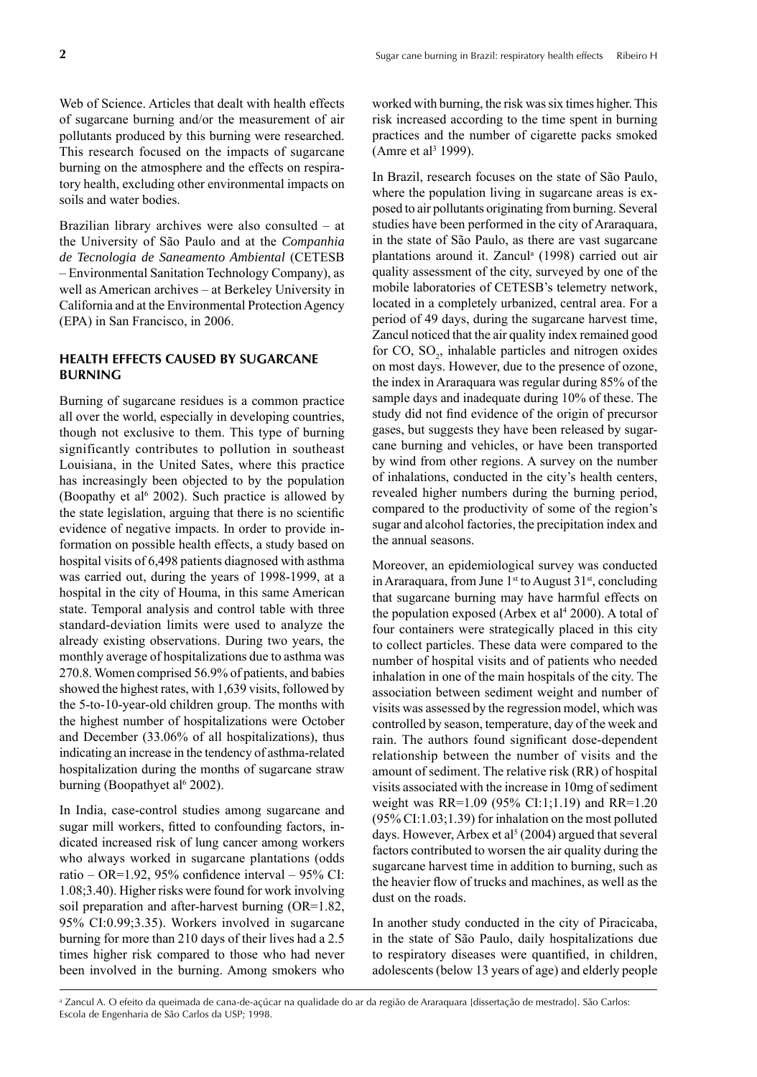Web of Science. Articles that dealt with health effects of sugarcane burning and/or the measurement of air pollutants produced by this burning were researched. This research focused on the impacts of sugarcane burning on the atmosphere and the effects on respiratory health, excluding other environmental impacts on soils and water bodies.

Brazilian library archives were also consulted – at the University of São Paulo and at the *Companhia de Tecnologia de Saneamento Ambiental* (CETESB – Environmental Sanitation Technology Company), as well as American archives – at Berkeley University in California and at the Environmental Protection Agency (EPA) in San Francisco, in 2006.

## **HEALTH EFFECTS CAUSED BY SUGARCANE BURNING**

Burning of sugarcane residues is a common practice all over the world, especially in developing countries, though not exclusive to them. This type of burning significantly contributes to pollution in southeast Louisiana, in the United Sates, where this practice has increasingly been objected to by the population (Boopathy et al<sup> $6$ </sup> 2002). Such practice is allowed by the state legislation, arguing that there is no scientific evidence of negative impacts. In order to provide information on possible health effects, a study based on hospital visits of 6,498 patients diagnosed with asthma was carried out, during the years of 1998-1999, at a hospital in the city of Houma, in this same American state. Temporal analysis and control table with three standard-deviation limits were used to analyze the already existing observations. During two years, the monthly average of hospitalizations due to asthma was 270.8. Women comprised 56.9% of patients, and babies showed the highest rates, with 1,639 visits, followed by the 5-to-10-year-old children group. The months with the highest number of hospitalizations were October and December (33.06% of all hospitalizations), thus indicating an increase in the tendency of asthma-related hospitalization during the months of sugarcane straw burning (Boopathyet al<sup>6</sup> 2002).

In India, case-control studies among sugarcane and sugar mill workers, fitted to confounding factors, indicated increased risk of lung cancer among workers who always worked in sugarcane plantations (odds ratio – OR=1.92, 95% confidence interval – 95% CI: 1.08;3.40). Higher risks were found for work involving soil preparation and after-harvest burning (OR=1.82, 95% CI:0.99;3.35). Workers involved in sugarcane burning for more than 210 days of their lives had a 2.5 times higher risk compared to those who had never been involved in the burning. Among smokers who worked with burning, the risk was six times higher. This risk increased according to the time spent in burning practices and the number of cigarette packs smoked (Amre et al<sup>3</sup> 1999).

In Brazil, research focuses on the state of São Paulo, where the population living in sugarcane areas is exposed to air pollutants originating from burning. Several studies have been performed in the city of Araraquara, in the state of São Paulo, as there are vast sugarcane plantations around it. Zancul<sup>a</sup> (1998) carried out air quality assessment of the city, surveyed by one of the mobile laboratories of CETESB's telemetry network, located in a completely urbanized, central area. For a period of 49 days, during the sugarcane harvest time, Zancul noticed that the air quality index remained good for  $CO$ ,  $SO_2$ , inhalable particles and nitrogen oxides on most days. However, due to the presence of ozone, the index in Araraquara was regular during 85% of the sample days and inadequate during 10% of these. The study did not find evidence of the origin of precursor gases, but suggests they have been released by sugarcane burning and vehicles, or have been transported by wind from other regions. A survey on the number of inhalations, conducted in the city's health centers, revealed higher numbers during the burning period, compared to the productivity of some of the region's sugar and alcohol factories, the precipitation index and the annual seasons.

Moreover, an epidemiological survey was conducted in Araraquara, from June  $1<sup>st</sup>$  to August 31 $<sup>st</sup>$ , concluding</sup> that sugarcane burning may have harmful effects on the population exposed (Arbex et  $al<sup>4</sup> 2000$ ). A total of four containers were strategically placed in this city to collect particles. These data were compared to the number of hospital visits and of patients who needed inhalation in one of the main hospitals of the city. The association between sediment weight and number of visits was assessed by the regression model, which was controlled by season, temperature, day of the week and rain. The authors found significant dose-dependent relationship between the number of visits and the amount of sediment. The relative risk (RR) of hospital visits associated with the increase in 10mg of sediment weight was RR=1.09 (95% CI:1;1.19) and RR=1.20 (95% CI:1.03;1.39) for inhalation on the most polluted days. However, Arbex et al<sup>5</sup> (2004) argued that several factors contributed to worsen the air quality during the sugarcane harvest time in addition to burning, such as the heavier flow of trucks and machines, as well as the dust on the roads.

In another study conducted in the city of Piracicaba, in the state of São Paulo, daily hospitalizations due to respiratory diseases were quantified, in children, adolescents (below 13 years of age) and elderly people

a Zancul A. O efeito da queimada de cana-de-açúcar na qualidade do ar da região de Araraquara [dissertação de mestrado]. São Carlos: Escola de Engenharia de São Carlos da USP; 1998.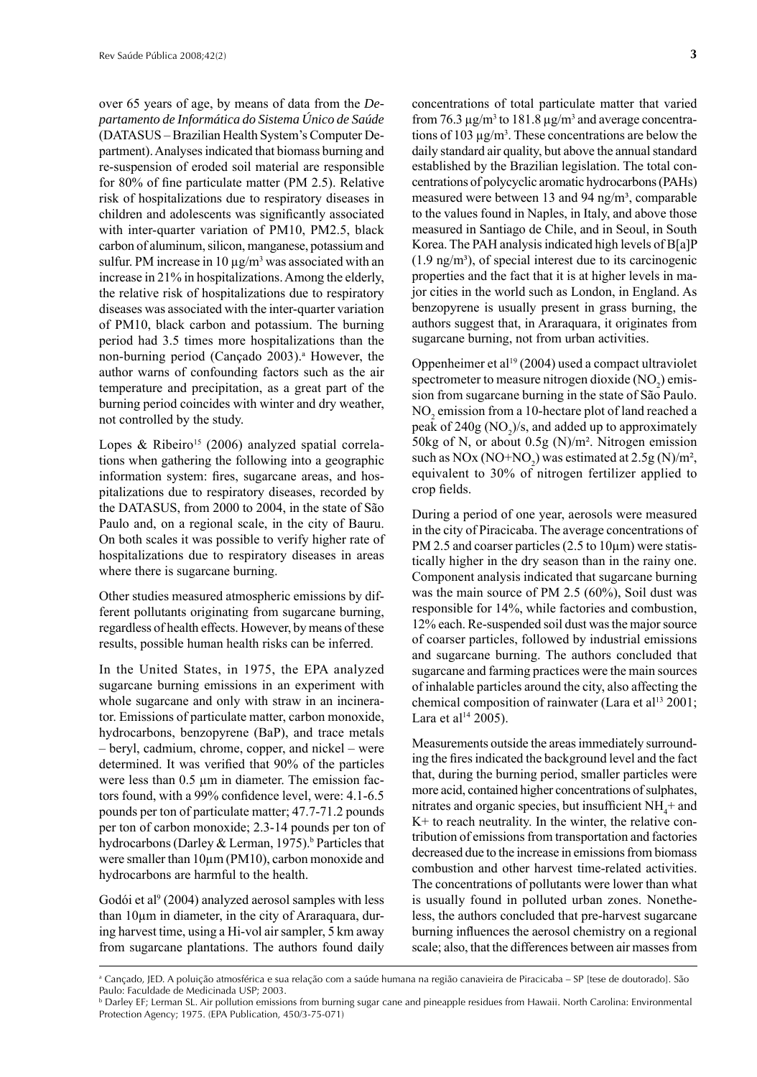over 65 years of age, by means of data from the *Departamento de Informática do Sistema Único de Saúde*  (DATASUS – Brazilian Health System's Computer Department). Analyses indicated that biomass burning and re-suspension of eroded soil material are responsible for 80% of fine particulate matter (PM  $2.5$ ). Relative risk of hospitalizations due to respiratory diseases in children and adolescents was significantly associated with inter-quarter variation of PM10, PM2.5, black carbon of aluminum, silicon, manganese, potassium and sulfur. PM increase in  $10 \mu g/m^3$  was associated with an increase in 21% in hospitalizations. Among the elderly, the relative risk of hospitalizations due to respiratory diseases was associated with the inter-quarter variation of PM10, black carbon and potassium. The burning period had 3.5 times more hospitalizations than the non-burning period (Cançado 2003).<sup>a</sup> However, the author warns of confounding factors such as the air temperature and precipitation, as a great part of the burning period coincides with winter and dry weather, not controlled by the study.

Lopes & Ribeiro<sup>15</sup> (2006) analyzed spatial correlations when gathering the following into a geographic information system: fires, sugarcane areas, and hospitalizations due to respiratory diseases, recorded by the DATASUS, from 2000 to 2004, in the state of São Paulo and, on a regional scale, in the city of Bauru. On both scales it was possible to verify higher rate of hospitalizations due to respiratory diseases in areas where there is sugarcane burning.

Other studies measured atmospheric emissions by different pollutants originating from sugarcane burning, regardless of health effects. However, by means of these results, possible human health risks can be inferred.

In the United States, in 1975, the EPA analyzed sugarcane burning emissions in an experiment with whole sugarcane and only with straw in an incinerator. Emissions of particulate matter, carbon monoxide, hydrocarbons, benzopyrene (BaP), and trace metals – beryl, cadmium, chrome, copper, and nickel – were determined. It was verified that 90% of the particles were less than 0.5 μm in diameter. The emission factors found, with a 99% confidence level, were: 4.1-6.5 pounds per ton of particulate matter; 47.7-71.2 pounds per ton of carbon monoxide; 2.3-14 pounds per ton of hydrocarbons (Darley & Lerman, 1975).<sup>b</sup> Particles that were smaller than 10μm (PM10), carbon monoxide and hydrocarbons are harmful to the health.

Godói et al<sup>9</sup> (2004) analyzed aerosol samples with less than 10μm in diameter, in the city of Araraquara, during harvest time, using a Hi-vol air sampler, 5 km away from sugarcane plantations. The authors found daily

concentrations of total particulate matter that varied from 76.3  $\mu$ g/m<sup>3</sup> to 181.8  $\mu$ g/m<sup>3</sup> and average concentrations of 103  $\mu$ g/m<sup>3</sup>. These concentrations are below the daily standard air quality, but above the annual standard established by the Brazilian legislation. The total concentrations of polycyclic aromatic hydrocarbons (PAHs) measured were between 13 and 94 ng/m<sup>3</sup>, comparable to the values found in Naples, in Italy, and above those measured in Santiago de Chile, and in Seoul, in South Korea. The PAH analysis indicated high levels of B[a]P  $(1.9 \text{ ng/m}^3)$ , of special interest due to its carcinogenic properties and the fact that it is at higher levels in major cities in the world such as London, in England. As benzopyrene is usually present in grass burning, the authors suggest that, in Araraquara, it originates from sugarcane burning, not from urban activities.

Oppenheimer et al19 (2004) used a compact ultraviolet spectrometer to measure nitrogen dioxide  $(NO<sub>2</sub>)$  emission from sugarcane burning in the state of São Paulo. NO<sub>2</sub> emission from a 10-hectare plot of land reached a peak of  $240g \,(NO<sub>2</sub>)/s$ , and added up to approximately 50kg of N, or about 0.5g (N)/m². Nitrogen emission such as  $NOx (NO+NO<sub>2</sub>)$  was estimated at  $2.5g (N)/m<sup>2</sup>$ , equivalent to 30% of nitrogen fertilizer applied to crop fields.

During a period of one year, aerosols were measured in the city of Piracicaba. The average concentrations of PM 2.5 and coarser particles (2.5 to  $10 \mu m$ ) were statistically higher in the dry season than in the rainy one. Component analysis indicated that sugarcane burning was the main source of PM 2.5 (60%), Soil dust was responsible for 14%, while factories and combustion, 12% each. Re-suspended soil dust was the major source of coarser particles, followed by industrial emissions and sugarcane burning. The authors concluded that sugarcane and farming practices were the main sources of inhalable particles around the city, also affecting the chemical composition of rainwater (Lara et al<sup>13</sup> 2001; Lara et al $14$  2005).

Measurements outside the areas immediately surrounding the fires indicated the background level and the fact that, during the burning period, smaller particles were more acid, contained higher concentrations of sulphates, nitrates and organic species, but insufficient  $NH<sub>4</sub>$ + and  $K<sup>+</sup>$  to reach neutrality. In the winter, the relative contribution of emissions from transportation and factories decreased due to the increase in emissions from biomass combustion and other harvest time-related activities. The concentrations of pollutants were lower than what is usually found in polluted urban zones. Nonetheless, the authors concluded that pre-harvest sugarcane burning influences the aerosol chemistry on a regional scale; also, that the differences between air masses from

a Cançado, JED. A poluição atmosférica e sua relação com a saúde humana na região canavieira de Piracicaba – SP [tese de doutorado]. São Paulo: Faculdade de Medicinada USP; 2003.

b Darley EF; Lerman SL. Air pollution emissions from burning sugar cane and pineapple residues from Hawaii. North Carolina: Environmental Protection Agency; 1975. (EPA Publication, 450/3-75-071)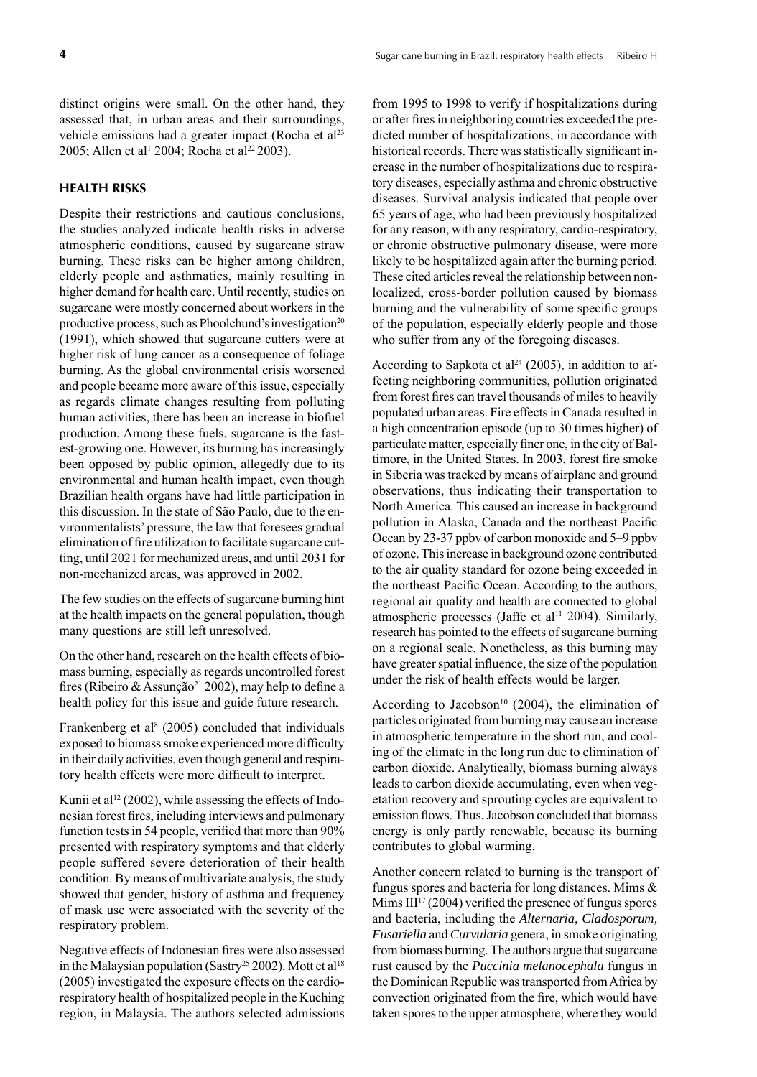distinct origins were small. On the other hand, they assessed that, in urban areas and their surroundings, vehicle emissions had a greater impact (Rocha et al<sup>23</sup>) 2005; Allen et al<sup>1</sup> 2004; Rocha et al<sup>22</sup> 2003).

## **HEALTH RISKS**

Despite their restrictions and cautious conclusions, the studies analyzed indicate health risks in adverse atmospheric conditions, caused by sugarcane straw burning. These risks can be higher among children, elderly people and asthmatics, mainly resulting in higher demand for health care. Until recently, studies on sugarcane were mostly concerned about workers in the productive process, such as Phoolchund's investigation<sup>20</sup> (1991), which showed that sugarcane cutters were at higher risk of lung cancer as a consequence of foliage burning. As the global environmental crisis worsened and people became more aware of this issue, especially as regards climate changes resulting from polluting human activities, there has been an increase in biofuel production. Among these fuels, sugarcane is the fastest-growing one. However, its burning has increasingly been opposed by public opinion, allegedly due to its environmental and human health impact, even though Brazilian health organs have had little participation in this discussion. In the state of São Paulo, due to the environmentalists' pressure, the law that foresees gradual elimination of fire utilization to facilitate sugarcane cutting, until 2021 for mechanized areas, and until 2031 for non-mechanized areas, was approved in 2002.

The few studies on the effects of sugarcane burning hint at the health impacts on the general population, though many questions are still left unresolved.

On the other hand, research on the health effects of biomass burning, especially as regards uncontrolled forest fires (Ribeiro & Assunção<sup>21</sup> 2002), may help to define a health policy for this issue and guide future research.

Frankenberg et al<sup>8</sup> (2005) concluded that individuals exposed to biomass smoke experienced more difficulty in their daily activities, even though general and respiratory health effects were more difficult to interpret.

Kunii et al<sup>12</sup> (2002), while assessing the effects of Indonesian forest fires, including interviews and pulmonary function tests in 54 people, verified that more than 90% presented with respiratory symptoms and that elderly people suffered severe deterioration of their health condition. By means of multivariate analysis, the study showed that gender, history of asthma and frequency of mask use were associated with the severity of the respiratory problem.

Negative effects of Indonesian fires were also assessed in the Malaysian population (Sastry<sup>25</sup> 2002). Mott et al<sup>18</sup> (2005) investigated the exposure effects on the cardiorespiratory health of hospitalized people in the Kuching region, in Malaysia. The authors selected admissions

from 1995 to 1998 to verify if hospitalizations during or after fires in neighboring countries exceeded the predicted number of hospitalizations, in accordance with historical records. There was statistically significant increase in the number of hospitalizations due to respiratory diseases, especially asthma and chronic obstructive diseases. Survival analysis indicated that people over 65 years of age, who had been previously hospitalized for any reason, with any respiratory, cardio-respiratory, or chronic obstructive pulmonary disease, were more likely to be hospitalized again after the burning period. These cited articles reveal the relationship between nonlocalized, cross-border pollution caused by biomass burning and the vulnerability of some specific groups of the population, especially elderly people and those who suffer from any of the foregoing diseases.

According to Sapkota et al<sup>24</sup> (2005), in addition to affecting neighboring communities, pollution originated from forest fires can travel thousands of miles to heavily populated urban areas. Fire effects in Canada resulted in a high concentration episode (up to 30 times higher) of particulate matter, especially finer one, in the city of Baltimore, in the United States. In 2003, forest fire smoke in Siberia was tracked by means of airplane and ground observations, thus indicating their transportation to North America. This caused an increase in background pollution in Alaska, Canada and the northeast Pacific Ocean by 23-37 ppbv of carbon monoxide and 5–9 ppbv of ozone. This increase in background ozone contributed to the air quality standard for ozone being exceeded in the northeast Pacific Ocean. According to the authors, regional air quality and health are connected to global atmospheric processes (Jaffe et al<sup>11</sup> 2004). Similarly, research has pointed to the effects of sugarcane burning on a regional scale. Nonetheless, as this burning may have greater spatial influence, the size of the population under the risk of health effects would be larger.

According to Jacobson<sup>10</sup> (2004), the elimination of particles originated from burning may cause an increase in atmospheric temperature in the short run, and cooling of the climate in the long run due to elimination of carbon dioxide. Analytically, biomass burning always leads to carbon dioxide accumulating, even when vegetation recovery and sprouting cycles are equivalent to emission flows. Thus, Jacobson concluded that biomass energy is only partly renewable, because its burning contributes to global warming.

Another concern related to burning is the transport of fungus spores and bacteria for long distances. Mims & Mims  $III<sup>17</sup>$  (2004) verified the presence of fungus spores and bacteria, including the *Alternaria, Cladosporum, Fusariella* and *Curvularia* genera, in smoke originating from biomass burning. The authors argue that sugarcane rust caused by the *Puccinia melanocephala* fungus in the Dominican Republic was transported from Africa by convection originated from the fire, which would have taken spores to the upper atmosphere, where they would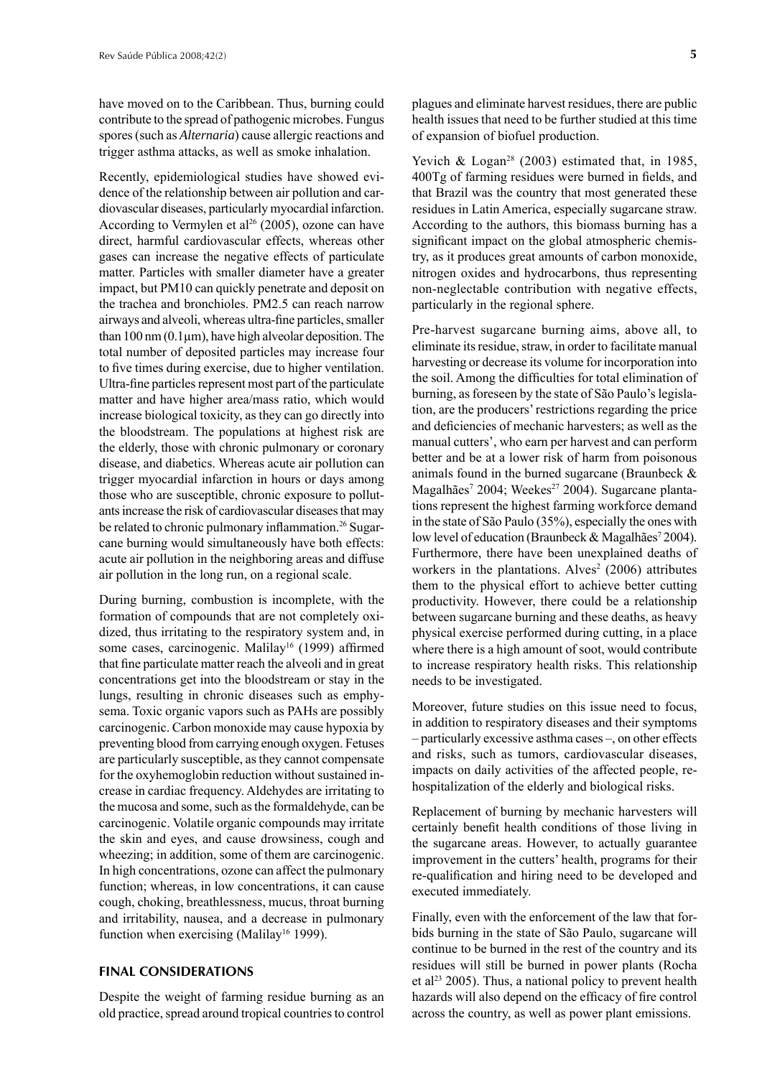have moved on to the Caribbean. Thus, burning could contribute to the spread of pathogenic microbes. Fungus spores (such as *Alternaria*) cause allergic reactions and trigger asthma attacks, as well as smoke inhalation.

Recently, epidemiological studies have showed evidence of the relationship between air pollution and cardiovascular diseases, particularly myocardial infarction. According to Vermylen et al<sup>26</sup> (2005), ozone can have direct, harmful cardiovascular effects, whereas other gases can increase the negative effects of particulate matter. Particles with smaller diameter have a greater impact, but PM10 can quickly penetrate and deposit on the trachea and bronchioles. PM2.5 can reach narrow airways and alveoli, whereas ultra-fine particles, smaller than 100 nm  $(0.1 \mu m)$ , have high alveolar deposition. The total number of deposited particles may increase four to five times during exercise, due to higher ventilation. Ultra-fine particles represent most part of the particulate matter and have higher area/mass ratio, which would increase biological toxicity, as they can go directly into the bloodstream. The populations at highest risk are the elderly, those with chronic pulmonary or coronary disease, and diabetics. Whereas acute air pollution can trigger myocardial infarction in hours or days among those who are susceptible, chronic exposure to pollutants increase the risk of cardiovascular diseases that may be related to chronic pulmonary inflammation.<sup>26</sup> Sugarcane burning would simultaneously have both effects: acute air pollution in the neighboring areas and diffuse air pollution in the long run, on a regional scale.

During burning, combustion is incomplete, with the formation of compounds that are not completely oxidized, thus irritating to the respiratory system and, in some cases, carcinogenic. Malilay<sup>16</sup> (1999) affirmed that fine particulate matter reach the alveoli and in great concentrations get into the bloodstream or stay in the lungs, resulting in chronic diseases such as emphysema. Toxic organic vapors such as PAHs are possibly carcinogenic. Carbon monoxide may cause hypoxia by preventing blood from carrying enough oxygen. Fetuses are particularly susceptible, as they cannot compensate for the oxyhemoglobin reduction without sustained increase in cardiac frequency. Aldehydes are irritating to the mucosa and some, such as the formaldehyde, can be carcinogenic. Volatile organic compounds may irritate the skin and eyes, and cause drowsiness, cough and wheezing; in addition, some of them are carcinogenic. In high concentrations, ozone can affect the pulmonary function; whereas, in low concentrations, it can cause cough, choking, breathlessness, mucus, throat burning and irritability, nausea, and a decrease in pulmonary function when exercising (Malilay<sup>16</sup> 1999).

## **FINAL CONSIDERATIONS**

Despite the weight of farming residue burning as an old practice, spread around tropical countries to control plagues and eliminate harvest residues, there are public health issues that need to be further studied at this time of expansion of biofuel production.

Yevich & Logan<sup>28</sup> (2003) estimated that, in 1985, 400Tg of farming residues were burned in fields, and that Brazil was the country that most generated these residues in Latin America, especially sugarcane straw. According to the authors, this biomass burning has a significant impact on the global atmospheric chemistry, as it produces great amounts of carbon monoxide, nitrogen oxides and hydrocarbons, thus representing non-neglectable contribution with negative effects, particularly in the regional sphere.

Pre-harvest sugarcane burning aims, above all, to eliminate its residue, straw, in order to facilitate manual harvesting or decrease its volume for incorporation into the soil. Among the difficulties for total elimination of burning, as foreseen by the state of São Paulo's legislation, are the producers' restrictions regarding the price and deficiencies of mechanic harvesters; as well as the manual cutters', who earn per harvest and can perform better and be at a lower risk of harm from poisonous animals found in the burned sugarcane (Braunbeck & Magalhães<sup>7</sup> 2004; Weekes<sup>27</sup> 2004). Sugarcane plantations represent the highest farming workforce demand in the state of São Paulo (35%), especially the ones with low level of education (Braunbeck & Magalhães<sup>7</sup> 2004). Furthermore, there have been unexplained deaths of workers in the plantations. Alves<sup>2</sup> (2006) attributes them to the physical effort to achieve better cutting productivity. However, there could be a relationship between sugarcane burning and these deaths, as heavy physical exercise performed during cutting, in a place where there is a high amount of soot, would contribute to increase respiratory health risks. This relationship needs to be investigated.

Moreover, future studies on this issue need to focus, in addition to respiratory diseases and their symptoms – particularly excessive asthma cases –, on other effects and risks, such as tumors, cardiovascular diseases, impacts on daily activities of the affected people, rehospitalization of the elderly and biological risks.

Replacement of burning by mechanic harvesters will certainly benefit health conditions of those living in the sugarcane areas. However, to actually guarantee improvement in the cutters' health, programs for their re-qualification and hiring need to be developed and executed immediately.

Finally, even with the enforcement of the law that forbids burning in the state of São Paulo, sugarcane will continue to be burned in the rest of the country and its residues will still be burned in power plants (Rocha et al<sup>23</sup> 2005). Thus, a national policy to prevent health hazards will also depend on the efficacy of fire control across the country, as well as power plant emissions.